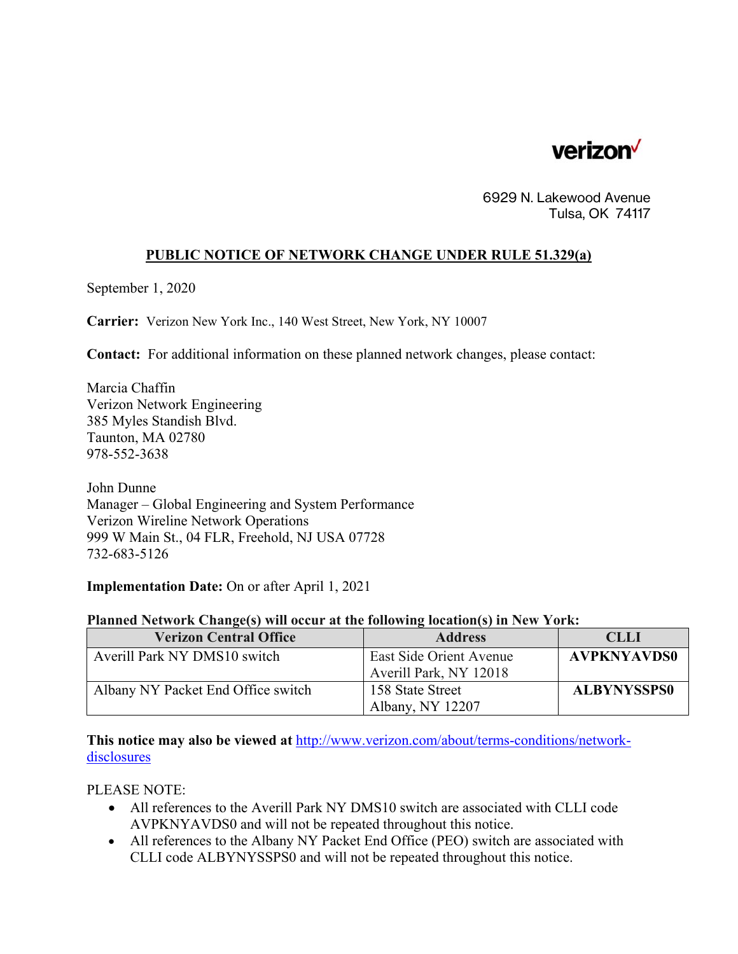

6929 N. Lakewood Avenue Tulsa, OK 74117

## **PUBLIC NOTICE OF NETWORK CHANGE UNDER RULE 51.329(a)**

September 1, 2020

**Carrier:** Verizon New York Inc., 140 West Street, New York, NY 10007

**Contact:** For additional information on these planned network changes, please contact:

Marcia Chaffin Verizon Network Engineering 385 Myles Standish Blvd. Taunton, MA 02780 978-552-3638

John Dunne Manager – Global Engineering and System Performance Verizon Wireline Network Operations 999 W Main St., 04 FLR, Freehold, NJ USA 07728 732-683-5126

**Implementation Date:** On or after April 1, 2021

## **Planned Network Change(s) will occur at the following location(s) in New York:**

| <b>Verizon Central Office</b>      | <b>Address</b>                                    | <b>CLLI</b>        |
|------------------------------------|---------------------------------------------------|--------------------|
| Averill Park NY DMS10 switch       | East Side Orient Avenue<br>Averill Park, NY 12018 | <b>AVPKNYAVDS0</b> |
| Albany NY Packet End Office switch | 158 State Street<br>Albany, NY 12207              | <b>ALBYNYSSPS0</b> |

**This notice may also be viewed at** http://www.verizon.com/about/terms-conditions/networkdisclosures

PLEASE NOTE:

- All references to the Averill Park NY DMS10 switch are associated with CLLI code AVPKNYAVDS0 and will not be repeated throughout this notice.
- All references to the Albany NY Packet End Office (PEO) switch are associated with CLLI code ALBYNYSSPS0 and will not be repeated throughout this notice.